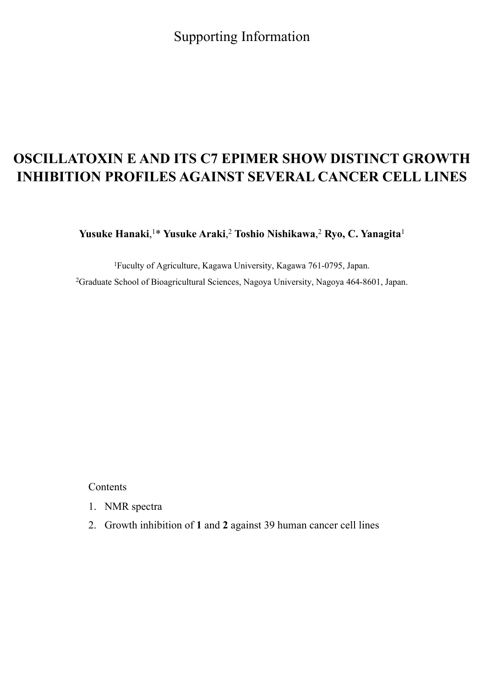Supporting Information

## **OSCILLATOXIN E AND ITS C7 EPIMER SHOW DISTINCT GROWTH INHIBITION PROFILES AGAINST SEVERAL CANCER CELL LINES**

**Yusuke Hanaki**, 1\* **Yusuke Araki**, <sup>2</sup> **Toshio Nishikawa**, <sup>2</sup> **Ryo, C. Yanagita**<sup>1</sup>

1Fuculty of Agriculture, Kagawa University, Kagawa 761-0795, Japan. 2Graduate School of Bioagricultural Sciences, Nagoya University, Nagoya 464-8601, Japan.

Contents

- 1. NMR spectra
- 2. Growth inhibition of **1** and **2** against 39 human cancer cell lines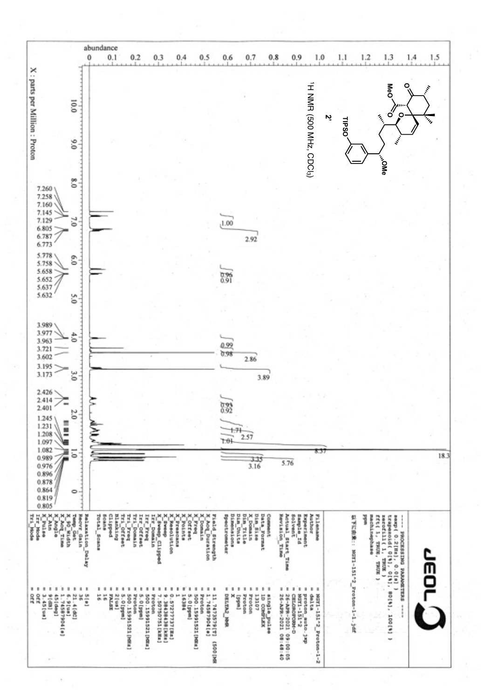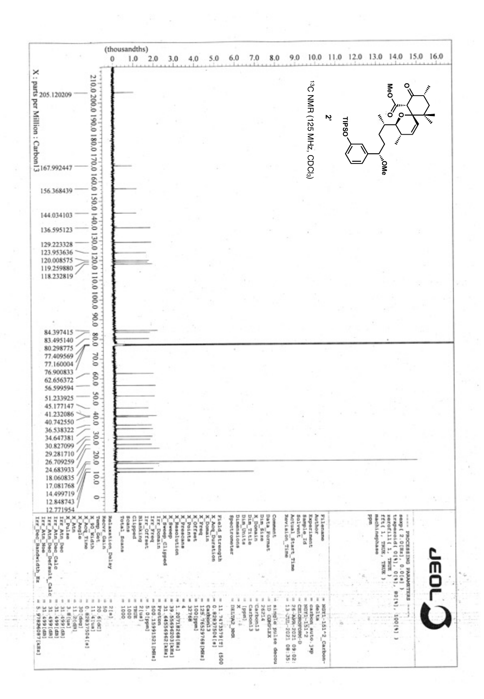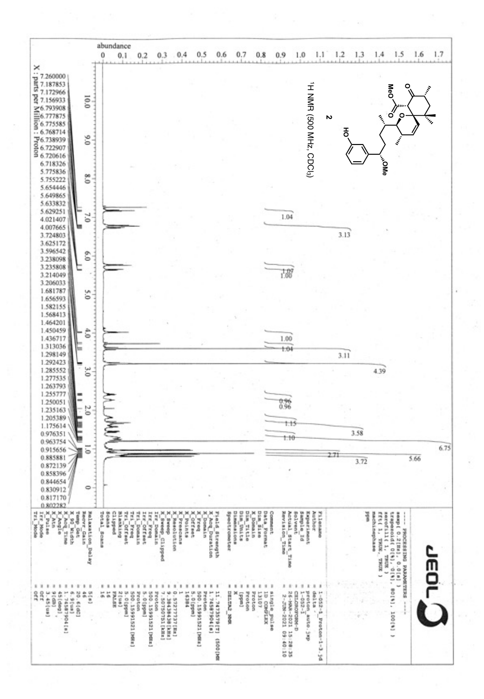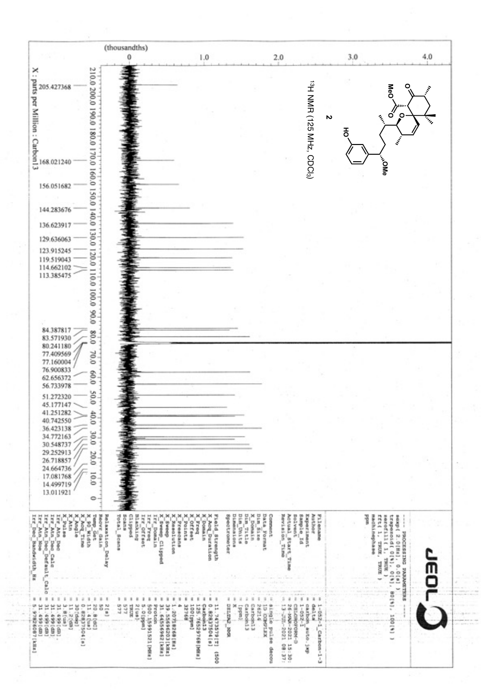